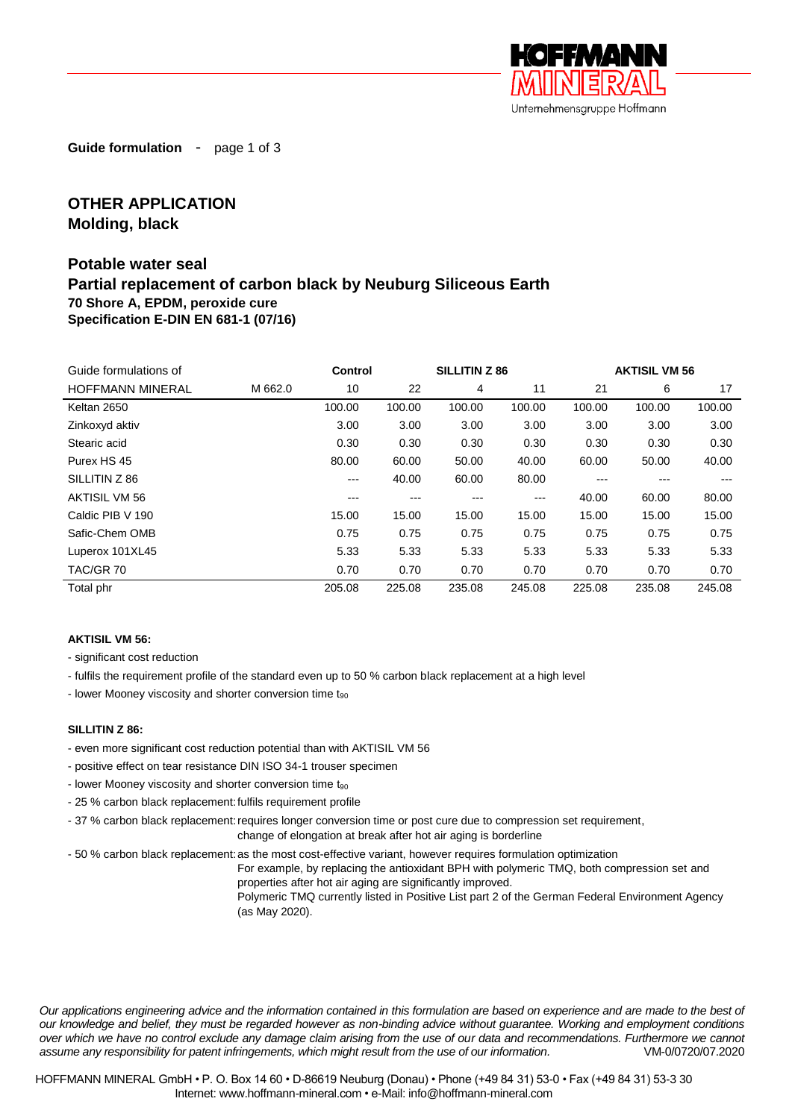

**Guide formulation** - page 1 of 3

# **OTHER APPLICATION Molding, black**

## **Potable water seal Partial replacement of carbon black by Neuburg Siliceous Earth 70 Shore A, EPDM, peroxide cure Specification E-DIN EN 681-1 (07/16)**

| Guide formulations of   | <b>Control</b> |        | <b>SILLITIN Z 86</b> |        |        | <b>AKTISIL VM 56</b> |        |        |
|-------------------------|----------------|--------|----------------------|--------|--------|----------------------|--------|--------|
| <b>HOFFMANN MINERAL</b> | M 662.0        | 10     | 22                   | 4      | 11     | 21                   | 6      | 17     |
| Keltan 2650             |                | 100.00 | 100.00               | 100.00 | 100.00 | 100.00               | 100.00 | 100.00 |
| Zinkoxyd aktiv          |                | 3.00   | 3.00                 | 3.00   | 3.00   | 3.00                 | 3.00   | 3.00   |
| Stearic acid            |                | 0.30   | 0.30                 | 0.30   | 0.30   | 0.30                 | 0.30   | 0.30   |
| Purex HS 45             |                | 80.00  | 60.00                | 50.00  | 40.00  | 60.00                | 50.00  | 40.00  |
| SILLITIN Z 86           |                | ---    | 40.00                | 60.00  | 80.00  | ---                  | ---    | ---    |
| AKTISIL VM 56           |                | ---    | ---                  | $---$  | $---$  | 40.00                | 60.00  | 80.00  |
| Caldic PIB V 190        |                | 15.00  | 15.00                | 15.00  | 15.00  | 15.00                | 15.00  | 15.00  |
| Safic-Chem OMB          |                | 0.75   | 0.75                 | 0.75   | 0.75   | 0.75                 | 0.75   | 0.75   |
| Luperox 101XL45         |                | 5.33   | 5.33                 | 5.33   | 5.33   | 5.33                 | 5.33   | 5.33   |
| TAC/GR 70               |                | 0.70   | 0.70                 | 0.70   | 0.70   | 0.70                 | 0.70   | 0.70   |
| Total phr               |                | 205.08 | 225.08               | 235.08 | 245.08 | 225.08               | 235.08 | 245.08 |

#### **AKTISIL VM 56:**

- significant cost reduction

- fulfils the requirement profile of the standard even up to 50 % carbon black replacement at a high level
- lower Mooney viscosity and shorter conversion time  $t_{90}$

#### **SILLITIN Z 86:**

- even more significant cost reduction potential than with AKTISIL VM 56
- positive effect on tear resistance DIN ISO 34-1 trouser specimen
- lower Mooney viscosity and shorter conversion time  $t_{90}$
- 25 % carbon black replacement: fulfils requirement profile
- 37 % carbon black replacement: requires longer conversion time or post cure due to compression set requirement, change of elongation at break after hot air aging is borderline

- 50 % carbon black replacement:as the most cost-effective variant, however requires formulation optimization

For example, by replacing the antioxidant BPH with polymeric TMQ, both compression set and properties after hot air aging are significantly improved.

Polymeric TMQ currently listed in Positive List part 2 of the German Federal Environment Agency (as May 2020).

*Our applications engineering advice and the information contained in this formulation are based on experience and are made to the best of our knowledge and belief, they must be regarded however as non-binding advice without guarantee. Working and employment conditions over which we have no control exclude any damage claim arising from the use of our data and recommendations. Furthermore we cannot assume any responsibility for patent infringements, which might result from the use of our information.* VM-0/0720/07.2020

HOFFMANN MINERAL GmbH • P. O. Box 14 60 • D-86619 Neuburg (Donau) • Phone (+49 84 31) 53-0 • Fax (+49 84 31) 53-3 30 Internet: www.hoffmann-mineral.com • e-Mail: info@hoffmann-mineral.com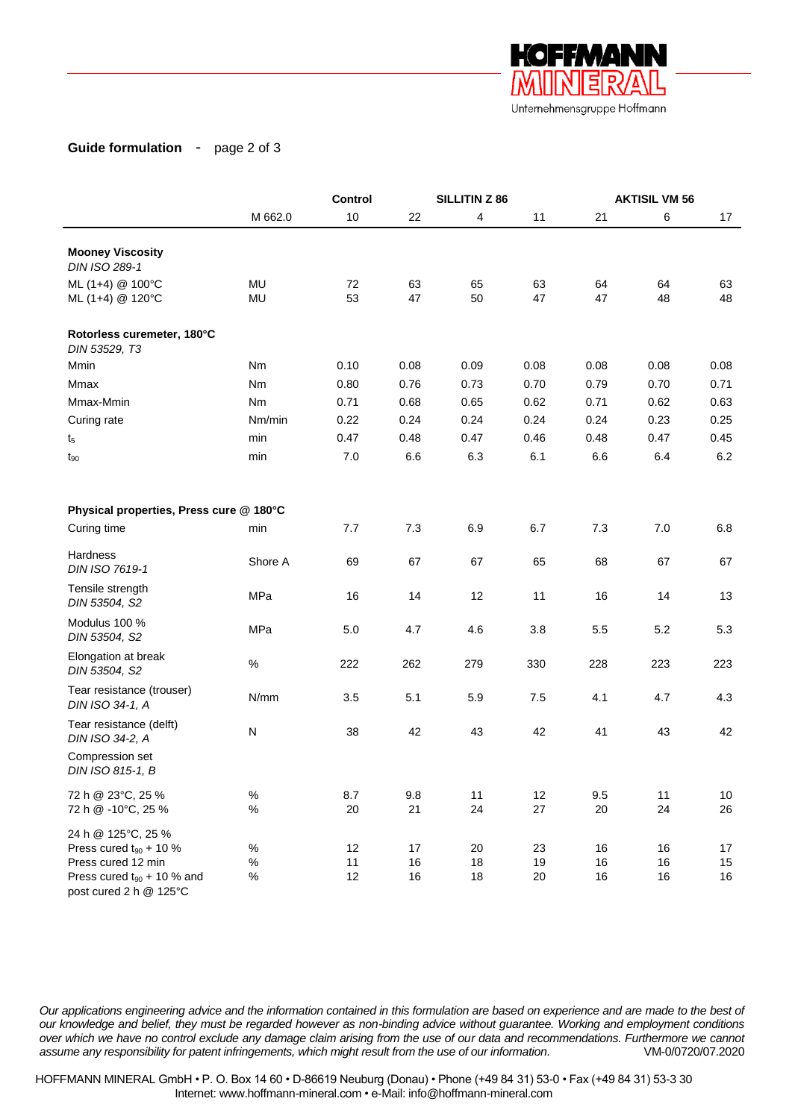

## **Guide formulation** - page 2 of 3

|                                                       |                | <b>Control</b> | SILLITIN Z 86 |          |          | <b>AKTISIL VM 56</b> |          |          |
|-------------------------------------------------------|----------------|----------------|---------------|----------|----------|----------------------|----------|----------|
|                                                       | M 662.0        | 10             | 22            | 4        | 11       | 21                   | 6        | 17       |
| <b>Mooney Viscosity</b><br>DIN ISO 289-1              |                |                |               |          |          |                      |          |          |
| ML (1+4) @ 100°C<br>ML (1+4) @ 120°C                  | MU<br>MU       | 72<br>53       | 63<br>47      | 65<br>50 | 63<br>47 | 64<br>47             | 64<br>48 | 63<br>48 |
| Rotorless curemeter, 180°C<br>DIN 53529, T3           |                |                |               |          |          |                      |          |          |
| Mmin                                                  | Nm             | 0.10           | 0.08          | 0.09     | 0.08     | 0.08                 | 0.08     | 0.08     |
| Mmax                                                  | N <sub>m</sub> | 0.80           | 0.76          | 0.73     | 0.70     | 0.79                 | 0.70     | 0.71     |
| Mmax-Mmin                                             | Nm             | 0.71           | 0.68          | 0.65     | 0.62     | 0.71                 | 0.62     | 0.63     |
| Curing rate                                           | Nm/min         | 0.22           | 0.24          | 0.24     | 0.24     | 0.24                 | 0.23     | 0.25     |
| t <sub>5</sub>                                        | min            | 0.47           | 0.48          | 0.47     | 0.46     | 0.48                 | 0.47     | 0.45     |
| $t_{90}$                                              | min            | 7.0            | 6.6           | 6.3      | 6.1      | 6.6                  | 6.4      | 6.2      |
| Physical properties, Press cure @ 180°C               |                |                |               |          |          |                      |          |          |
| Curing time                                           | min            | 7.7            | 7.3           | 6.9      | 6.7      | 7.3                  | 7.0      | 6.8      |
| Hardness<br>DIN ISO 7619-1                            | Shore A        | 69             | 67            | 67       | 65       | 68                   | 67       | 67       |
| Tensile strength<br>DIN 53504, S2                     | MPa            | 16             | 14            | 12       | 11       | 16                   | 14       | 13       |
| Modulus 100 %<br>DIN 53504, S2                        | MPa            | 5.0            | 4.7           | 4.6      | 3.8      | 5.5                  | 5.2      | 5.3      |
| Elongation at break<br>DIN 53504, S2                  | $\%$           | 222            | 262           | 279      | 330      | 228                  | 223      | 223      |
| Tear resistance (trouser)<br>DIN ISO 34-1, A          | N/mm           | 3.5            | 5.1           | 5.9      | 7.5      | 4.1                  | 4.7      | 4.3      |
| Tear resistance (delft)<br>DIN ISO 34-2, A            | N              | 38             | 42            | 43       | 42       | 41                   | 43       | 42       |
| Compression set<br>DIN ISO 815-1, B                   |                |                |               |          |          |                      |          |          |
| 72 h @ 23°C, 25 %                                     | $\%$           | 8.7            | 9.8           | 11       | 12       | 9.5                  | 11       | $10$     |
| 72 h @ -10°C, 25 %                                    | $\%$           | 20             | 21            | 24       | 27       | 20                   | 24       | 26       |
| 24 h @ 125°C, 25 %<br>Press cured $t_{90}$ + 10 %     | $\%$           | 12             | 17            | 20       | 23       | 16                   | 16       | 17       |
| Press cured 12 min<br>Press cured $t_{90}$ + 10 % and | $\%$<br>$\%$   | 11<br>12       | 16<br>16      | 18<br>18 | 19<br>20 | 16<br>16             | 16<br>16 | 15<br>16 |
| post cured 2 h @ 125°C                                |                |                |               |          |          |                      |          |          |

*Our applications engineering advice and the information contained in this formulation are based on experience and are made to the best of our knowledge and belief, they must be regarded however as non-binding advice without guarantee. Working and employment conditions over which we have no control exclude any damage claim arising from the use of our data and recommendations. Furthermore we cannot assume any responsibility for patent infringements, which might result from the use of our information.* VM-0/0720/07.2020

HOFFMANN MINERAL GmbH • P. O. Box 14 60 • D-86619 Neuburg (Donau) • Phone (+49 84 31) 53-0 • Fax (+49 84 31) 53-3 30 Internet: www.hoffmann-mineral.com • e-Mail: info@hoffmann-mineral.com